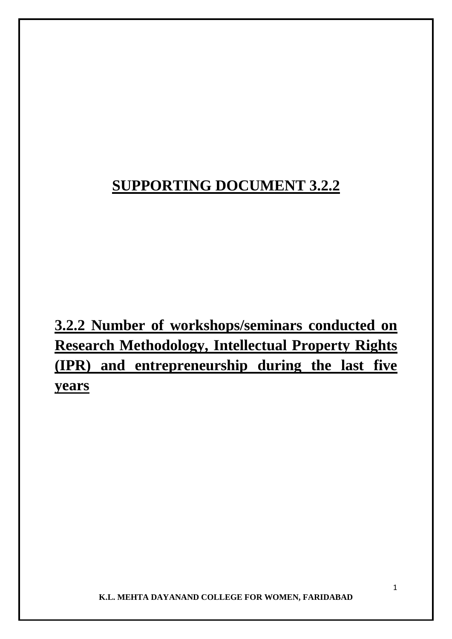### **SUPPORTING DOCUMENT 3.2.2**

**3.2.2 Number of workshops/seminars conducted on Research Methodology, Intellectual Property Rights (IPR) and entrepreneurship during the last five years**

**K.L. MEHTA DAYANAND COLLEGE FOR WOMEN, FARIDABAD**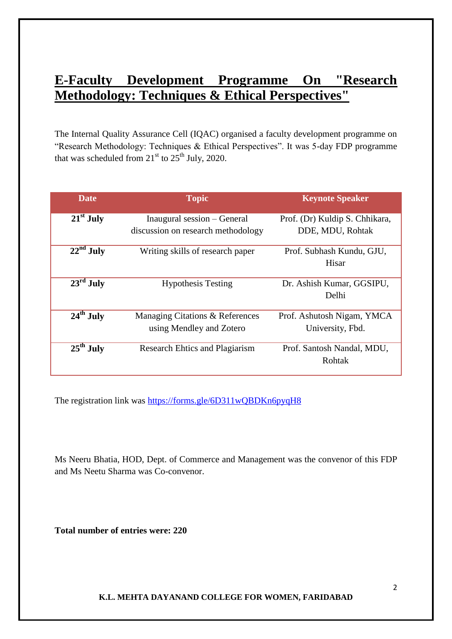### **E-Faculty Development Programme On "Research Methodology: Techniques & Ethical Perspectives"**

The Internal Quality Assurance Cell (IQAC) organised a faculty development programme on "Research Methodology: Techniques & Ethical Perspectives". It was 5-day FDP programme that was scheduled from  $21<sup>st</sup>$  to  $25<sup>th</sup>$  July, 2020.

| Date        | <b>Topic</b>                          | <b>Keynote Speaker</b>         |
|-------------|---------------------------------------|--------------------------------|
| $21st$ July | Inaugural session – General           | Prof. (Dr) Kuldip S. Chhikara, |
|             | discussion on research methodology    | DDE, MDU, Rohtak               |
| $22nd$ July | Writing skills of research paper      | Prof. Subhash Kundu, GJU,      |
|             |                                       | Hisar                          |
| $23rd$ July | <b>Hypothesis Testing</b>             | Dr. Ashish Kumar, GGSIPU,      |
|             |                                       | Delhi                          |
| $24th$ July | Managing Citations & References       | Prof. Ashutosh Nigam, YMCA     |
|             | using Mendley and Zotero              | University, Fbd.               |
| $25th$ July | <b>Research Ehtics and Plagiarism</b> | Prof. Santosh Nandal, MDU,     |
|             |                                       | Rohtak                         |

The registration link was<https://forms.gle/6D311wQBDKn6pyqH8>

Ms Neeru Bhatia, HOD, Dept. of Commerce and Management was the convenor of this FDP and Ms Neetu Sharma was Co-convenor.

**Total number of entries were: 220**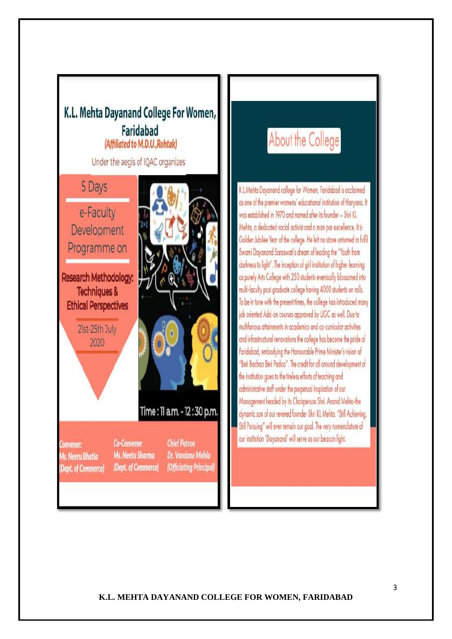

## **About the College**

K.L.Mehta Dayanand college for Women, Faridabad is acclaimed as one of the premier womens' educational institution of Haryana. It was established in 1970 and named after its founder - Shri KL Mehta, a dedicated social activist and a man par excellence. It is Golden Jubilee Year of the college. He left no stone unturned to fulfil Swami Dayanand Saraswati's dream of leading the "Youth from darkness to light". The inception of girl institution of higher learning as purely Arts College with 250 students eventually blossomed into multi-faculty post graduate college having 4000 students on rolls. To be in tune with the present times, the college has introduced many job oriented Add-on courses approved by UGC as well. Due to multifarious attainments in academics and co-curricular activities and infrastructural renovations the college has become the pride of Faridabad, embodying the Honourable Prime Minister's vision of "Beti Bachao Beti Padao". The credit for all around development of the institution goes to the tireless efforts of teaching and administrative staff under the perpetual inspiration of our Management headed by its Chairperson Shri. Anand Mehta-the dynamic son of our revered founder Shri KL Mehta. "Still Achieving, Still Pursuing" will ever remain our goal. The very nomenclature of our institution 'Dayanand' will serve as our beacon light.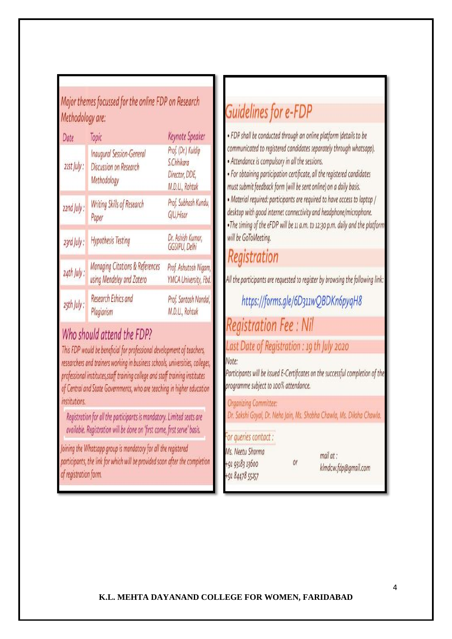Major themes focussed for the online FDP on Research Methodology are:

| Date       | Topic                                                                     | Keynote Speaker                                                      |
|------------|---------------------------------------------------------------------------|----------------------------------------------------------------------|
| 21st July: | <b>Inaugural Session-General</b><br>Discussion on Research<br>Methodology | Prof. (Dr.) Kuldip<br>S.Chhikara<br>Director, DDE,<br>M.D.U., Rohtak |
| 22nd July: | Writing Skills of Research<br>Paper                                       | Prof. Subhash Kundu,<br>GJU, Hisar                                   |
| 23rd July: | <b>Hypothesis Testing</b>                                                 | Dr. Ashish Kumar,<br>GGSIPU, Delhi                                   |
| 24th July: | <b>Managing Citations &amp; References</b><br>using Mendeley and Zotero   | Prof. Ashutosh Nigam,<br>YMCA University, Fbd.                       |
| 25th July: | <b>Research Ethics and</b><br>Plagiarism                                  | Prof. Santosh Nandal,<br>M.D.U., Rohtak                              |

## Who should attend the FDP?

This FDP would be beneficial for professional development of teachers, researchers and trainers working in business schools, universities, colleges, professional institutes, staff training college and staff training institutes of Central and State Governments, who are teaching in higher education *institutions.* 

Registration for all the participants is mandatory. Limited seats are available. Registration will be done on 'first come, first serve' basis.

Joining the Whatsapp group is mandatory for all the registered participants, the link for which will be provided soon after the completion of registration form.

# Guidelines for e-FDP



## Last Date of Registration : 19 th July 2020

Note:

Participants will be issued E-Certificates on the successful completion of the programme subject to 100% attendance.

Organizing Committee:

Dr. Sakshi Goyal, Dr. Neha Jain, Ms. Shobha Chawla, Ms. Diksha Chawla.

Öľ

### For queries contact:

Ms. Neetu Sharma +91 93183 13600

+91 84478 55257

mail at : klmdcw.fdp@gmail.com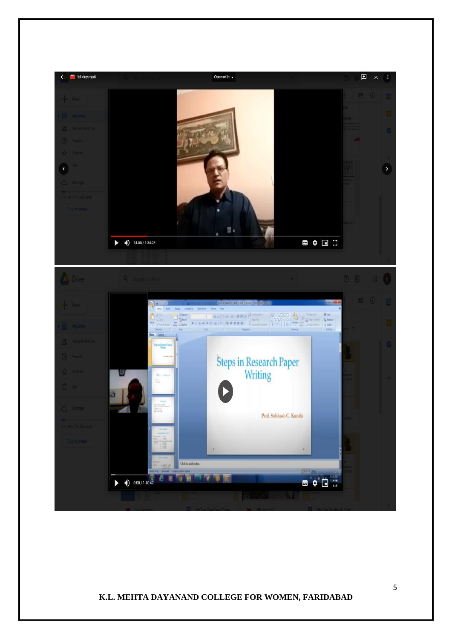

#### **K.L. MEHTA DAYANAND COLLEGE FOR WOMEN, FARIDABAD**

 $e$  a  $\circ$   $\bullet$ 

 $\bullet$  0:00/1:40:42

■ ● 回口

**EGSM** MA